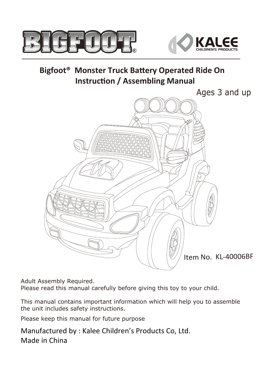



#### **Bigfoot® Monster Truck Battery Operated Ride On Instruction / Assembling Manual**



Adult Assembly Required.

Please read this manual carefully before giving this toy to your child.

This manual contains important information which will help you to assemble the unit includes safety instructions.

Please keep this manual for future purpose

Manufactured by : Kalee Children's Products Co, Ltd. Made in China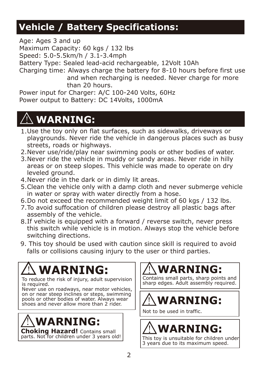### **Vehicle / Battery Specifications:**

Age: Ages 3 and up Maximum Capacity: 60 kgs / 132 lbs Speed: 5.0-5.5km/h / 3.1-3.4mph Battery Type: Sealed lead-acid rechargeable, 12Volt 10Ah Charging time: Always charge the battery for 8-10 hours before first use and when recharging is needed. Never charge for more than 20 hours.

Power input for Charger: A/C 100-240 Volts, 60Hz Power output to Battery: DC 14Volts, 1000mA

# **WARNING:**

- 1. Use the toy only on flat surfaces, such as sidewalks, driveways or playgrounds. Never ride the vehicle in dangerous places such as busy streets, roads or highways.
- Never use/ride/play near swimming pools or other bodies of water. 2.
- Never ride the vehicle in muddy or sandy areas. Never ride in hilly 3. areas or on steep slopes. This vehicle was made to operate on dry leveled ground.
- Never ride in the dark or in dimly lit areas. 4.
- Clean the vehicle only with a damp cloth and never submerge vehicle 5. in water or spray with water directly from a hose.
- 6.Do not exceed the recommended weight limit of 60 kgs / 132 lbs.
- 7. To avoid suffocation of children please destroy all plastic bags after assembly of the vehicle.
- 8.If vehicle is equipped with a forward / reverse switch, never press this switch while vehicle is in motion. Always stop the vehicle before switching directions.
- 9. This toy should be used with caution since skill is required to avoid falls or collisions causing injury to the user or third parties.

# **WARNING:**

To reduce the risk of injury, adult supervision is required.

Never use on roadways, near motor vehicles, on or near steep inclines or steps, swimming pools or other bodies of water. Always wear shoes and never allow more than 2 rider.



**Choking Hazard!** Contains small parts. Not for children under 3 years old! **WARNING:**

Contains small parts, sharp points and sharp edges. Adult assembly required.

# **WARNING:**

Not to be used in traffic.

# **WARNING:**

This toy is unsuitable for children under 3 years due to its maximum speed.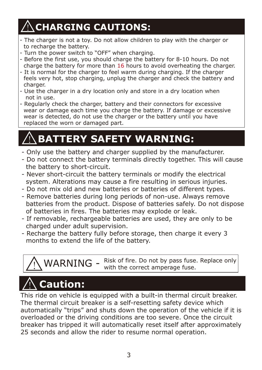# **CHARGING CAUTIONS:**

- The charger is not a toy. Do not allow children to play with the charger or to recharge the battery.
- Turn the power switch to "OFF" when charging.
- Before the first use, you should charge the battery for 8-10 hours. Do not charge the battery for more than 16 hours to avoid overheating the charger.
- It is normal for the charger to feel warm during charging. If the charger feels very hot, stop charging, unplug the charger and check the battery and charger.
- Use the charger in a dry location only and store in a dry location when not in use.
- Regularly check the charger, battery and their connectors for excessive wear or damage each time you charge the battery. If damage or excessive wear is detected, do not use the charger or the battery until you have replaced the worn or damaged part.

## **BATTERY SAFETY WARNING:**

- Only use the battery and charger supplied by the manufacturer.
- Do not connect the battery terminals directly together. This will cause the battery to short-circuit.
- Never short-circuit the battery terminals or modify the electrical system. Alterations may cause a fire resulting in serious injuries.
- Do not mix old and new batteries or batteries of different types.
- Remove batteries during long periods of non-use. Always remove batteries from the product. Dispose of batteries safely. Do not dispose of batteries in fires. The batteries may explode or leak.
- If removable, rechargeable batteries are used, they are only to be charged under adult supervision.
- Recharge the battery fully before storage, then charge it every 3 months to extend the life of the battery.

 $WARMING -$  Risk of fire. Do not by pass fuse. Replace only with the correct amperage fuse.

# **Caution: Caution:**

This ride on vehicle is equipped with a built-in thermal circuit breaker. The thermal circuit breaker is a self-resetting safety device which automatically "trips" and shuts down the operation of the vehicle if it is overloaded or the driving conditions are too severe. Once the circuit breaker has tripped it will automatically reset itself after approximately 25 seconds and allow the rider to resume normal operation.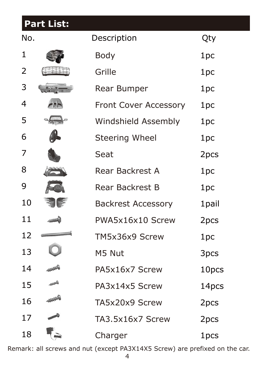### **Part List:**

| No. |                          | Description                  | Qty    |
|-----|--------------------------|------------------------------|--------|
| 1   |                          | <b>Body</b>                  | 1pc    |
| 2   |                          | Grille                       | 1pc    |
| 3   |                          | <b>Rear Bumper</b>           | 1pc    |
| 4   |                          | <b>Front Cover Accessory</b> | 1pc    |
| 5   |                          | <b>Windshield Assembly</b>   | 1pc    |
| 6   |                          | <b>Steering Wheel</b>        | 1pc    |
| 7   |                          | Seat                         | 2pcs   |
| 8   |                          | <b>Rear Backrest A</b>       | 1pc    |
| 9   |                          | <b>Rear Backrest B</b>       | 1pc    |
| 10  |                          | <b>Backrest Accessory</b>    | 1 pail |
| 11  |                          | PWA5x16x10 Screw             | 2pcs   |
| 12  | nomonomente e constructo | TM5x36x9 Screw               | 1pc    |
| 13  |                          | M5 Nut                       | 3pcs   |
| 14  |                          | PA5x16x7 Screw               | 10pcs  |
| 15  |                          | PA3x14x5 Screw               | 14pcs  |
| 16  |                          | TA5x20x9 Screw               | 2pcs   |
| 17  |                          | TA3.5x16x7 Screw             | 2pcs   |
| 18  |                          | Charger                      | 1pcs   |

Remark: all screws and nut (except PA3X14X5 Screw) are prefixed on the car.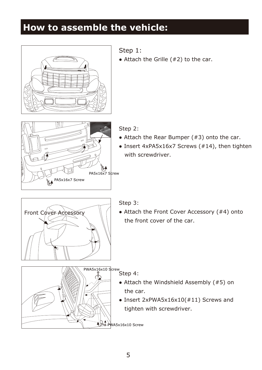### **How to assemble the vehicle:**



- Step 1:
- $\bullet$  Attach the Grille (#2) to the car.



Step 2:

- $\bullet$  Attach the Rear Bumper (#3) onto the car.
- Insert 4xPA5x16x7 Screws (#14), then tighten with screwdriver.



#### Step 3:

• Attach the Front Cover Accessory (#4) onto the front cover of the car.



- Attach the Windshield Assembly (#5) on the car.
- Insert 2xPWA5x16x10(#11) Screws and tighten with screwdriver.

PWA5x16x10 Screw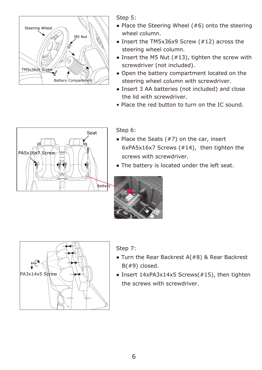

Step 5:

- $\bullet$  Place the Steering Wheel (#6) onto the steering wheel column.
- Insert the TM5x36x9 Screw (#12) across the steering wheel column.
- Insert the M5 Nut  $(#13)$ , tighten the screw with screwdriver (not included).
- Open the battery compartment located on the steering wheel column with screwdriver.
- Insert 3 AA batteries (not included) and close the lid with screwdriver.
- Place the red button to turn on the IC sound.



Step 6:

- $\bullet$  Place the Seats (#7) on the car, insert 6xPA5x16x7 Screws (#14), then tighten the screws with screwdriver.
- The battery is located under the left seat.





Step 7:

- $\bullet$  Turn the Rear Backrest A(#8) & Rear Backrest B(#9) closed.
- Insert 14xPA3x14x5 Screws(#15), then tighten the screws with screwdriver.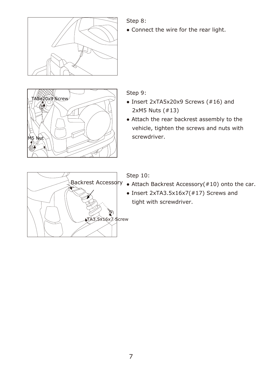

Step 8:

• Connect the wire for the rear light.



Step 9:

- Insert 2xTA5x20x9 Screws (#16) and 2xM5 Nuts (#13)
- Attach the rear backrest assembly to the vehicle, tighten the screws and nuts with screwdriver.



Step 10:

- Backrest Accessory Attach Backrest Accessory(#10) onto the car.
	- Insert 2xTA3.5x16x7(#17) Screws and tight with screwdriver.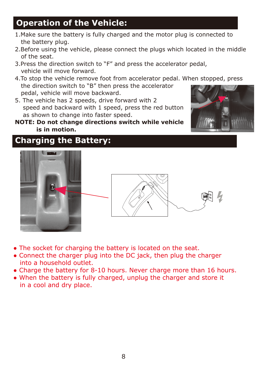### **Operation of the Vehicle:**

- 1.Make sure the battery is fully charged and the motor plug is connected to the battery plug.
- 2.Before using the vehicle, please connect the plugs which located in the middle of the seat.
- 3.Press the direction switch to "F" and press the accelerator pedal, vehicle will move forward.
- 4.To stop the vehicle remove foot from accelerator pedal. When stopped, press the direction switch to "B" then press the accelerator pedal, vehicle will move backward.
- 5. The vehicle has 2 speeds, drive forward with 2 speed and backward with 1 speed, press the red button as shown to change into faster speed.
- **NOTE: Do not change directions switch while vehicle is in motion.**



#### **Charging the Battery:**





- The socket for charging the battery is located on the seat.
- Connect the charger plug into the DC jack, then plug the charger into a household outlet.
- Charge the battery for 8-10 hours. Never charge more than 16 hours.
- When the battery is fully charged, unplug the charger and store it in a cool and dry place.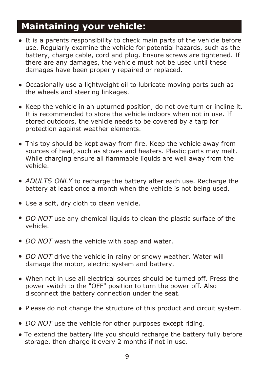#### **Maintaining your vehicle:**

- It is a parents responsibility to check main parts of the vehicle before use. Regularly examine the vehicle for potential hazards, such as the battery, charge cable, cord and plug. Ensure screws are tightened. If there are any damages, the vehicle must not be used until these damages have been properly repaired or replaced.
- Occasionally use a lightweight oil to lubricate moving parts such as the wheels and steering linkages.
- Keep the vehicle in an upturned position, do not overturn or incline it. It is recommended to store the vehicle indoors when not in use. If stored outdoors, the vehicle needs to be covered by a tarp for protection against weather elements.
- This toy should be kept away from fire. Keep the vehicle away from sources of heat, such as stoves and heaters. Plastic parts may melt. While charging ensure all flammable liquids are well away from the vehicle.
- ADULTS ONLY to recharge the battery after each use. Recharge the battery at least once a month when the vehicle is not being used.
- Use a soft, dry cloth to clean vehicle.
- *DO NOT* use any chemical liquids to clean the plastic surface of the vehicle.
- *DO NOT* wash the vehicle with soap and water.
- DO NOT drive the vehicle in rainy or snowy weather. Water will damage the motor, electric system and battery.
- When not in use all electrical sources should be turned off. Press the power switch to the "OFF" position to turn the power off. Also disconnect the battery connection under the seat.
- Please do not change the structure of this product and circuit system.
- *DO NOT* use the vehicle for other purposes except riding.
- To extend the battery life you should recharge the battery fully before storage, then charge it every 2 months if not in use.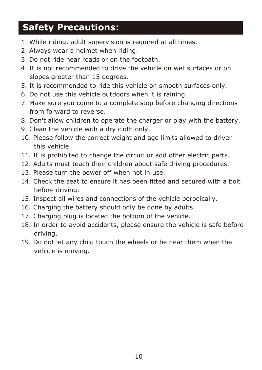### **Safety Precautions:**

- 1. While riding, adult supervision is required at all times.
- 2. Always wear a helmet when riding.
- 3. Do not ride near roads or on the footpath.
- 4. It is not recommended to drive the vehicle on wet surfaces or on slopes greater than 15 degrees.
- 5. It is recommended to ride this vehicle on smooth surfaces only.
- 6. Do not use this vehicle outdoors when it is raining.
- 7. Make sure you come to a complete stop before changing directions from forward to reverse.
- 8. Don't allow children to operate the charger or play with the battery.
- 9. Clean the vehicle with a dry cloth only.
- 10. Please follow the correct weight and age limits allowed to driver this vehicle.
- 11. It is prohibited to change the circuit or add other electric parts.
- 12. Adults must teach their children about safe driving procedures.
- 13. Please turn the power off when not in use.
- 14. Check the seat to ensure it has been fitted and secured with a bolt before driving.
- 15. Inspect all wires and connections of the vehicle perodically.
- 16. Charging the battery should only be done by adults.
- 17. Charging plug is located the bottom of the vehicle.
- 18. In order to avoid accidents, please ensure the vehicle is safe before driving.
- 19. Do not let any child touch the wheels or be near them when the vehicle is moving.